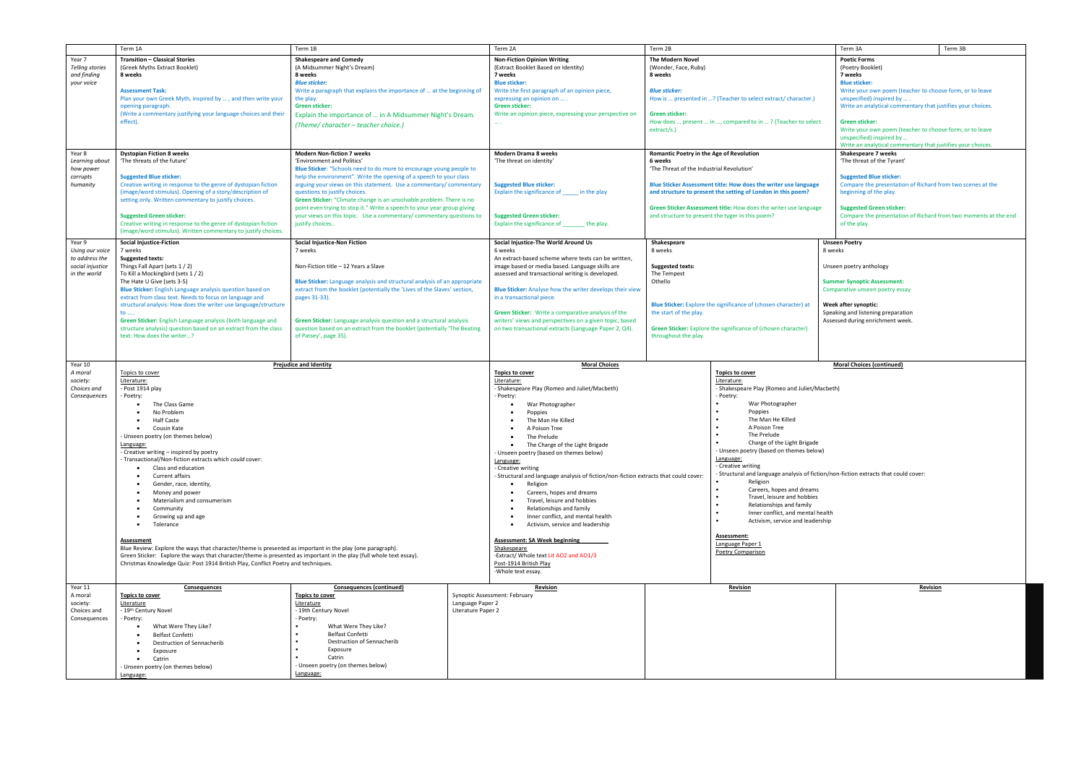| The Modern Novel<br>Year 7<br><b>Transition - Classical Stories</b><br><b>Shakespeare and Comedy</b><br><b>Non-Fiction Opinion Writing</b><br><b>Poetic Forms</b><br><b>Telling stories</b><br>(A Midsummer Night's Dream)<br>(Greek Myths Extract Booklet)<br>(Extract Booklet Based on Identity)<br>(Wonder, Face, Ruby)<br>(Poetry Booklet)<br>and finding<br>8 weeks<br>8 weeks<br>7 weeks<br>8 weeks<br>7 weeks<br><b>Blue sticker:</b><br><b>Blue sticker:</b><br><b>Blue sticker:</b><br>your voice<br>Write a paragraph that explains the importance of  at the beginning of<br>Write the first paragraph of an opinion piece,<br><b>Assessment Task:</b><br><b>Blue sticker:</b><br>Plan your own Greek Myth, inspired by , and then write your<br>How is  presented in ? (Teacher to select extract/ character.)<br>unspecified) inspired by<br>the play.<br>expressing an opinion on<br><b>Green sticker:</b><br>Green sticker:<br>opening paragraph.<br>(Write a commentary justifying your language choices and their<br>Explain the importance of  in A Midsummer Night's Dream.<br>Write an opinion piece, expressing your perspective on<br>Green sticker:<br>effect).<br>How does  present  in , compared to in ? (Teacher to select<br><b>Green sticker:</b><br>$\cdots$<br>(Theme/character - teacher choice.)<br>extract/s.)<br>unspecified) inspired by<br><b>Dystopian Fiction 8 weeks</b><br><b>Modern Non-fiction 7 weeks</b><br><b>Modern Drama 8 weeks</b><br>Romantic Poetry in the Age of Revolution<br>Year 8<br>Shakespeare 7 weeks<br>'The threats of the future'<br>'The threat of the Tyrant'<br>Learning about<br>'Environment and Politics'<br>'The threat on identity'<br>6 weeks<br>Blue Sticker: "Schools need to do more to encourage young people to<br>'The Threat of the Industrial Revolution'<br>how power<br><b>Suggested Blue sticker:</b><br>help the environment". Write the opening of a speech to your class<br>corrupts<br><b>Suggested Blue sticker:</b><br>Blue Sticker Assessment title: How does the writer use language<br>humanity<br>Creative writing in response to the genre of dystopian fiction<br>arguing your views on this statement. Use a commentary/commentary<br><b>Suggested Blue sticker:</b><br>(image/word stimulus). Opening of a story/description of<br>questions to justify choices.<br>Explain the significance of _______ in the play<br>and structure to present the setting of London in this poem?<br>beginning of the play.<br>Green Sticker: "Climate change is an unsolvable problem. There is no<br>setting only. Written commentary to justify choices.<br>point even trying to stop it." Write a speech to your year group giving<br>Green Sticker Assessment title: How does the writer use language<br><b>Suggested Green sticker:</b><br><b>Suggested Green sticker:</b><br>your views on this topic. Use a commentary/commentary questions to<br><b>Suggested Green sticker:</b><br>and structure to present the tyger in this poem?<br>Explain the significance of<br>Creative writing in response to the genre of dystopian fiction<br>justify choices<br>the play.<br>of the play.<br>(image/word stimulus). Written commentary to justify choices.<br><b>Social Injustice-Fiction</b><br>Social Injustice-Non Fiction<br>Social Injustice-The World Around Us<br>Shakespeare<br>Year 9<br><b>Unseen Poetry</b><br>7 weeks<br>6 weeks<br>8 weeks<br>Using our voice<br>7 weeks<br>8 weeks<br>to address the<br><b>Suggested texts:</b><br>An extract-based scheme where texts can be written,<br>Things Fall Apart (sets 1/2)<br>Non-Fiction title - 12 Years a Slave<br>social injustice<br>image based or media based. Language skills are<br>Unseen poetry anthology<br><b>Suggested texts:</b><br>To Kill a Mockingbird (sets 1/2)<br>in the world<br>assessed and transactional writing is developed.<br>The Tempest<br>Othello<br>The Hate U Give (sets 3-5)<br><b>Blue Sticker:</b> Language analysis and structural analysis of an appropriate<br><b>Summer Synoptic Assessment:</b><br>Blue Sticker: English Language analysis question based on<br>extract from the booklet (potentially the 'Lives of the Slaves' section,<br><b>Blue Sticker:</b> Analyse how the writer develops their view<br>Comparative unseen poetry essay<br>extract from class text. Needs to focus on language and<br>pages 31-33).<br>in a transactional piece.<br>structural analysis: How does the writer use language/structure<br><b>Blue Sticker:</b> Explore the significance of (chosen character) at<br>Week after synoptic:<br>Green Sticker: Write a comparative analysis of the<br>the start of the play.<br>Speaking and listening preparation<br>$\mathsf{to}$<br>Green Sticker: English Language analysis (both language and<br>Green Sticker: Language analysis question and a structural analysis<br>writers' views and perspectives on a given topic, based<br>Assessed during enrichment week.<br>structure analysis) question based on an extract from the class<br>question based on an extract from the booklet (potentially 'The Beating<br>on two transactional extracts (Language Paper 2, Q4).<br>Green Sticker: Explore the significance of (chosen character)<br>text: How does the writer?<br>of Patsey', page 35).<br>throughout the play.<br><b>Moral Choices (continued)</b><br>Year 10<br><b>Prejudice and Identity</b><br><b>Moral Choices</b><br>A moral<br>Topics to cover<br><b>Topics to cover</b><br><b>Topics to cover</b><br>Literature:<br>Literature:<br>Literature:<br>society:<br>Choices and<br>- Post 1914 play<br>- Shakespeare Play (Romeo and Juliet/Macbeth)<br>- Shakespeare Play (Romeo and Juliet/Macbeth)<br>- Poetry:<br>Poetry:<br>- Poetry:<br>Consequences<br>War Photographer<br>The Class Game<br>War Photographer<br>Poppies<br>No Problem<br>Poppies<br>The Man He Killed<br><b>Half Caste</b><br>The Man He Killed<br>A Poison Tree<br>Cousin Kate<br>A Poison Tree<br>$\bullet$<br>The Prelude<br>- Unseen poetry (on themes below)<br>The Prelude<br>Charge of the Light Brigade<br>Language:<br>The Charge of the Light Brigade<br>- Unseen poetry (based on themes below)<br>- Creative writing - inspired by poetry<br>Unseen poetry (based on themes below)<br>Language:<br>- Transactional/Non-fiction extracts which could cover:<br>Language:<br>- Creative writing<br>Class and education<br>- Creative writing<br>$\bullet$<br>- Structural and language analysis of fiction/non-fiction extracts that could cover:<br>- Structural and language analysis of fiction/non-fiction extracts that could cover:<br>Current affairs<br>Religion<br>Religion<br>Gender, race, identity,<br>Careers, hopes and dreams<br>$\bullet$<br>Careers, hopes and dreams<br>Money and power<br>Travel, leisure and hobbies<br>$\bullet$<br>Materialism and consumerism<br>Travel, leisure and hobbies<br>Relationships and family<br>Relationships and family<br>Community<br>Inner conflict, and mental health<br>Inner conflict, and mental health<br>Growing up and age<br>Activism, service and leadership<br>Tolerance<br>Activism, service and leadership<br>Assessment:<br>Assessment: SA Week beginning<br>Assessment<br>Language Paper 1<br>Blue Review: Explore the ways that character/theme is presented as important in the play (one paragraph).<br>Shakespeare<br>Poetry Comparison<br>Green Sticker: Explore the ways that character/theme is presented as important in the play (full whole text essay).<br>-Extract/ Whole text Lit AO2 and AO1/3<br>Christmas Knowledge Quiz: Post 1914 British Play, Conflict Poetry and techniques.<br>Post-1914 British Play<br>-Whole text essay. | Term 3B<br>Term 3A                                                                                                                                                                  |  |
|--------------------------------------------------------------------------------------------------------------------------------------------------------------------------------------------------------------------------------------------------------------------------------------------------------------------------------------------------------------------------------------------------------------------------------------------------------------------------------------------------------------------------------------------------------------------------------------------------------------------------------------------------------------------------------------------------------------------------------------------------------------------------------------------------------------------------------------------------------------------------------------------------------------------------------------------------------------------------------------------------------------------------------------------------------------------------------------------------------------------------------------------------------------------------------------------------------------------------------------------------------------------------------------------------------------------------------------------------------------------------------------------------------------------------------------------------------------------------------------------------------------------------------------------------------------------------------------------------------------------------------------------------------------------------------------------------------------------------------------------------------------------------------------------------------------------------------------------------------------------------------------------------------------------------------------------------------------------------------------------------------------------------------------------------------------------------------------------------------------------------------------------------------------------------------------------------------------------------------------------------------------------------------------------------------------------------------------------------------------------------------------------------------------------------------------------------------------------------------------------------------------------------------------------------------------------------------------------------------------------------------------------------------------------------------------------------------------------------------------------------------------------------------------------------------------------------------------------------------------------------------------------------------------------------------------------------------------------------------------------------------------------------------------------------------------------------------------------------------------------------------------------------------------------------------------------------------------------------------------------------------------------------------------------------------------------------------------------------------------------------------------------------------------------------------------------------------------------------------------------------------------------------------------------------------------------------------------------------------------------------------------------------------------------------------------------------------------------------------------------------------------------------------------------------------------------------------------------------------------------------------------------------------------------------------------------------------------------------------------------------------------------------------------------------------------------------------------------------------------------------------------------------------------------------------------------------------------------------------------------------------------------------------------------------------------------------------------------------------------------------------------------------------------------------------------------------------------------------------------------------------------------------------------------------------------------------------------------------------------------------------------------------------------------------------------------------------------------------------------------------------------------------------------------------------------------------------------------------------------------------------------------------------------------------------------------------------------------------------------------------------------------------------------------------------------------------------------------------------------------------------------------------------------------------------------------------------------------------------------------------------------------------------------------------------------------------------------------------------------------------------------------------------------------------------------------------------------------------------------------------------------------------------------------------------------------------------------------------------------------------------------------------------------------------------------------------------------------------------------------------------------------------------------------------------------------------------------------------------------------------------------------------------------------------------------------------------------------------------------------------------------------------------------------------------------------------------------------------------------------------------------------------------------------------------------------------------------------------------------------------------------------------------------------------------------------------------------------------------------------------------------------------------------------------------------------------------------------------------------------------------------------------------------------------------------------------------------------------------------------------------------------------------------------------------------------------------------------------------------------------------------------------------------------------------------------------------------------------------------------------------------------------------------------------------------------------------------------------------------------------------------------------------------------------------------------------------------------------------------------------------------------------------------------------------------------------------------------------------------------------------------------------------------------------------------------------------------------------------------------------------------------------------------------------------------------------------------------------------------------------------------------------------------------------------------------------------------------------------------------------------------------------------------------------------------------------------------------------------------------------------|-------------------------------------------------------------------------------------------------------------------------------------------------------------------------------------|--|
|                                                                                                                                                                                                                                                                                                                                                                                                                                                                                                                                                                                                                                                                                                                                                                                                                                                                                                                                                                                                                                                                                                                                                                                                                                                                                                                                                                                                                                                                                                                                                                                                                                                                                                                                                                                                                                                                                                                                                                                                                                                                                                                                                                                                                                                                                                                                                                                                                                                                                                                                                                                                                                                                                                                                                                                                                                                                                                                                                                                                                                                                                                                                                                                                                                                                                                                                                                                                                                                                                                                                                                                                                                                                                                                                                                                                                                                                                                                                                                                                                                                                                                                                                                                                                                                                                                                                                                                                                                                                                                                                                                                                                                                                                                                                                                                                                                                                                                                                                                                                                                                                                                                                                                                                                                                                                                                                                                                                                                                                                                                                                                                                                                                                                                                                                                                                                                                                                                                                                                                                                                                                                                                                                                                                                                                                                                                                                                                                                                                                                                                                                                                                                                                                                                                                                                                                                                                                                                                                                                                                                                                                                                                                                                                                                                                                                                                                                                                                                                                                                                                                                                                                                                                                                                                                                        | Write your own poem (teacher to choose form, or to leave<br>Write an analytical commentary that justifies your choices.<br>Write your own poem (teacher to choose form, or to leave |  |
|                                                                                                                                                                                                                                                                                                                                                                                                                                                                                                                                                                                                                                                                                                                                                                                                                                                                                                                                                                                                                                                                                                                                                                                                                                                                                                                                                                                                                                                                                                                                                                                                                                                                                                                                                                                                                                                                                                                                                                                                                                                                                                                                                                                                                                                                                                                                                                                                                                                                                                                                                                                                                                                                                                                                                                                                                                                                                                                                                                                                                                                                                                                                                                                                                                                                                                                                                                                                                                                                                                                                                                                                                                                                                                                                                                                                                                                                                                                                                                                                                                                                                                                                                                                                                                                                                                                                                                                                                                                                                                                                                                                                                                                                                                                                                                                                                                                                                                                                                                                                                                                                                                                                                                                                                                                                                                                                                                                                                                                                                                                                                                                                                                                                                                                                                                                                                                                                                                                                                                                                                                                                                                                                                                                                                                                                                                                                                                                                                                                                                                                                                                                                                                                                                                                                                                                                                                                                                                                                                                                                                                                                                                                                                                                                                                                                                                                                                                                                                                                                                                                                                                                                                                                                                                                                                        | Write an analytical commentary that justifies your choices.                                                                                                                         |  |
|                                                                                                                                                                                                                                                                                                                                                                                                                                                                                                                                                                                                                                                                                                                                                                                                                                                                                                                                                                                                                                                                                                                                                                                                                                                                                                                                                                                                                                                                                                                                                                                                                                                                                                                                                                                                                                                                                                                                                                                                                                                                                                                                                                                                                                                                                                                                                                                                                                                                                                                                                                                                                                                                                                                                                                                                                                                                                                                                                                                                                                                                                                                                                                                                                                                                                                                                                                                                                                                                                                                                                                                                                                                                                                                                                                                                                                                                                                                                                                                                                                                                                                                                                                                                                                                                                                                                                                                                                                                                                                                                                                                                                                                                                                                                                                                                                                                                                                                                                                                                                                                                                                                                                                                                                                                                                                                                                                                                                                                                                                                                                                                                                                                                                                                                                                                                                                                                                                                                                                                                                                                                                                                                                                                                                                                                                                                                                                                                                                                                                                                                                                                                                                                                                                                                                                                                                                                                                                                                                                                                                                                                                                                                                                                                                                                                                                                                                                                                                                                                                                                                                                                                                                                                                                                                                        | Compare the presentation of Richard from two scenes at the<br>Compare the presentation of Richard from two moments at the end                                                       |  |
|                                                                                                                                                                                                                                                                                                                                                                                                                                                                                                                                                                                                                                                                                                                                                                                                                                                                                                                                                                                                                                                                                                                                                                                                                                                                                                                                                                                                                                                                                                                                                                                                                                                                                                                                                                                                                                                                                                                                                                                                                                                                                                                                                                                                                                                                                                                                                                                                                                                                                                                                                                                                                                                                                                                                                                                                                                                                                                                                                                                                                                                                                                                                                                                                                                                                                                                                                                                                                                                                                                                                                                                                                                                                                                                                                                                                                                                                                                                                                                                                                                                                                                                                                                                                                                                                                                                                                                                                                                                                                                                                                                                                                                                                                                                                                                                                                                                                                                                                                                                                                                                                                                                                                                                                                                                                                                                                                                                                                                                                                                                                                                                                                                                                                                                                                                                                                                                                                                                                                                                                                                                                                                                                                                                                                                                                                                                                                                                                                                                                                                                                                                                                                                                                                                                                                                                                                                                                                                                                                                                                                                                                                                                                                                                                                                                                                                                                                                                                                                                                                                                                                                                                                                                                                                                                                        |                                                                                                                                                                                     |  |
|                                                                                                                                                                                                                                                                                                                                                                                                                                                                                                                                                                                                                                                                                                                                                                                                                                                                                                                                                                                                                                                                                                                                                                                                                                                                                                                                                                                                                                                                                                                                                                                                                                                                                                                                                                                                                                                                                                                                                                                                                                                                                                                                                                                                                                                                                                                                                                                                                                                                                                                                                                                                                                                                                                                                                                                                                                                                                                                                                                                                                                                                                                                                                                                                                                                                                                                                                                                                                                                                                                                                                                                                                                                                                                                                                                                                                                                                                                                                                                                                                                                                                                                                                                                                                                                                                                                                                                                                                                                                                                                                                                                                                                                                                                                                                                                                                                                                                                                                                                                                                                                                                                                                                                                                                                                                                                                                                                                                                                                                                                                                                                                                                                                                                                                                                                                                                                                                                                                                                                                                                                                                                                                                                                                                                                                                                                                                                                                                                                                                                                                                                                                                                                                                                                                                                                                                                                                                                                                                                                                                                                                                                                                                                                                                                                                                                                                                                                                                                                                                                                                                                                                                                                                                                                                                                        |                                                                                                                                                                                     |  |
|                                                                                                                                                                                                                                                                                                                                                                                                                                                                                                                                                                                                                                                                                                                                                                                                                                                                                                                                                                                                                                                                                                                                                                                                                                                                                                                                                                                                                                                                                                                                                                                                                                                                                                                                                                                                                                                                                                                                                                                                                                                                                                                                                                                                                                                                                                                                                                                                                                                                                                                                                                                                                                                                                                                                                                                                                                                                                                                                                                                                                                                                                                                                                                                                                                                                                                                                                                                                                                                                                                                                                                                                                                                                                                                                                                                                                                                                                                                                                                                                                                                                                                                                                                                                                                                                                                                                                                                                                                                                                                                                                                                                                                                                                                                                                                                                                                                                                                                                                                                                                                                                                                                                                                                                                                                                                                                                                                                                                                                                                                                                                                                                                                                                                                                                                                                                                                                                                                                                                                                                                                                                                                                                                                                                                                                                                                                                                                                                                                                                                                                                                                                                                                                                                                                                                                                                                                                                                                                                                                                                                                                                                                                                                                                                                                                                                                                                                                                                                                                                                                                                                                                                                                                                                                                                                        |                                                                                                                                                                                     |  |
|                                                                                                                                                                                                                                                                                                                                                                                                                                                                                                                                                                                                                                                                                                                                                                                                                                                                                                                                                                                                                                                                                                                                                                                                                                                                                                                                                                                                                                                                                                                                                                                                                                                                                                                                                                                                                                                                                                                                                                                                                                                                                                                                                                                                                                                                                                                                                                                                                                                                                                                                                                                                                                                                                                                                                                                                                                                                                                                                                                                                                                                                                                                                                                                                                                                                                                                                                                                                                                                                                                                                                                                                                                                                                                                                                                                                                                                                                                                                                                                                                                                                                                                                                                                                                                                                                                                                                                                                                                                                                                                                                                                                                                                                                                                                                                                                                                                                                                                                                                                                                                                                                                                                                                                                                                                                                                                                                                                                                                                                                                                                                                                                                                                                                                                                                                                                                                                                                                                                                                                                                                                                                                                                                                                                                                                                                                                                                                                                                                                                                                                                                                                                                                                                                                                                                                                                                                                                                                                                                                                                                                                                                                                                                                                                                                                                                                                                                                                                                                                                                                                                                                                                                                                                                                                                                        |                                                                                                                                                                                     |  |
| Year 11<br>Consequences (continued)<br><b>Revision</b><br><b>Revision</b><br>Consequences<br>A moral<br><b>Topics to cover</b><br>Synoptic Assessment: February<br><b>Topics to cover</b>                                                                                                                                                                                                                                                                                                                                                                                                                                                                                                                                                                                                                                                                                                                                                                                                                                                                                                                                                                                                                                                                                                                                                                                                                                                                                                                                                                                                                                                                                                                                                                                                                                                                                                                                                                                                                                                                                                                                                                                                                                                                                                                                                                                                                                                                                                                                                                                                                                                                                                                                                                                                                                                                                                                                                                                                                                                                                                                                                                                                                                                                                                                                                                                                                                                                                                                                                                                                                                                                                                                                                                                                                                                                                                                                                                                                                                                                                                                                                                                                                                                                                                                                                                                                                                                                                                                                                                                                                                                                                                                                                                                                                                                                                                                                                                                                                                                                                                                                                                                                                                                                                                                                                                                                                                                                                                                                                                                                                                                                                                                                                                                                                                                                                                                                                                                                                                                                                                                                                                                                                                                                                                                                                                                                                                                                                                                                                                                                                                                                                                                                                                                                                                                                                                                                                                                                                                                                                                                                                                                                                                                                                                                                                                                                                                                                                                                                                                                                                                                                                                                                                              | <b>Revision</b>                                                                                                                                                                     |  |
| Literature<br>Language Paper 2<br>society:<br>Literature<br>- 19th Century Novel<br>- 19th Century Novel<br>Literature Paper 2<br>Choices and<br>Consequences<br>- Poetry:<br>Poetry:<br>What Were They Like?<br>What Were They Like?<br>Belfast Confetti<br>Belfast Confetti<br>Destruction of Sennacherib<br>Destruction of Sennacherib<br>Exposure<br>Exposure<br>Catrin<br>Catrin<br>$\bullet$<br>Unseen poetry (on themes below)<br>- Unseen poetry (on themes below)<br>Language:<br>Language:                                                                                                                                                                                                                                                                                                                                                                                                                                                                                                                                                                                                                                                                                                                                                                                                                                                                                                                                                                                                                                                                                                                                                                                                                                                                                                                                                                                                                                                                                                                                                                                                                                                                                                                                                                                                                                                                                                                                                                                                                                                                                                                                                                                                                                                                                                                                                                                                                                                                                                                                                                                                                                                                                                                                                                                                                                                                                                                                                                                                                                                                                                                                                                                                                                                                                                                                                                                                                                                                                                                                                                                                                                                                                                                                                                                                                                                                                                                                                                                                                                                                                                                                                                                                                                                                                                                                                                                                                                                                                                                                                                                                                                                                                                                                                                                                                                                                                                                                                                                                                                                                                                                                                                                                                                                                                                                                                                                                                                                                                                                                                                                                                                                                                                                                                                                                                                                                                                                                                                                                                                                                                                                                                                                                                                                                                                                                                                                                                                                                                                                                                                                                                                                                                                                                                                                                                                                                                                                                                                                                                                                                                                                                                                                                                                                   |                                                                                                                                                                                     |  |